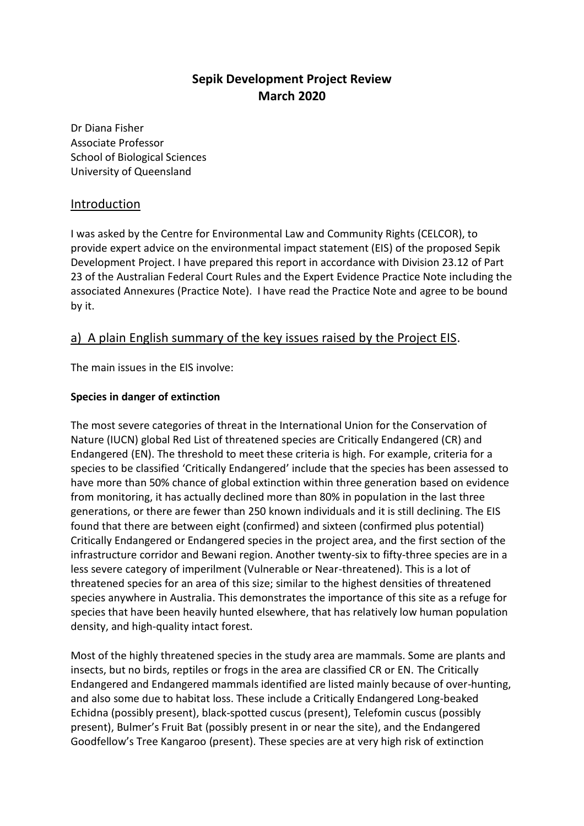# **Sepik Development Project Review March 2020**

Dr Diana Fisher Associate Professor School of Biological Sciences University of Queensland

### Introduction

I was asked by the Centre for Environmental Law and Community Rights (CELCOR), to provide expert advice on the environmental impact statement (EIS) of the proposed Sepik Development Project. I have prepared this report in accordance with Division 23.12 of Part 23 of the Australian Federal Court Rules and the Expert Evidence Practice Note including the associated Annexures (Practice Note). I have read the Practice Note and agree to be bound by it.

## a) A plain English summary of the key issues raised by the Project EIS.

The main issues in the EIS involve:

#### **Species in danger of extinction**

The most severe categories of threat in the International Union for the Conservation of Nature (IUCN) global Red List of threatened species are Critically Endangered (CR) and Endangered (EN). The threshold to meet these criteria is high. For example, criteria for a species to be classified 'Critically Endangered' include that the species has been assessed to have more than 50% chance of global extinction within three generation based on evidence from monitoring, it has actually declined more than 80% in population in the last three generations, or there are fewer than 250 known individuals and it is still declining. The EIS found that there are between eight (confirmed) and sixteen (confirmed plus potential) Critically Endangered or Endangered species in the project area, and the first section of the infrastructure corridor and Bewani region. Another twenty-six to fifty-three species are in a less severe category of imperilment (Vulnerable or Near-threatened). This is a lot of threatened species for an area of this size; similar to the highest densities of threatened species anywhere in Australia. This demonstrates the importance of this site as a refuge for species that have been heavily hunted elsewhere, that has relatively low human population density, and high-quality intact forest.

Most of the highly threatened species in the study area are mammals. Some are plants and insects, but no birds, reptiles or frogs in the area are classified CR or EN. The Critically Endangered and Endangered mammals identified are listed mainly because of over-hunting, and also some due to habitat loss. These include a Critically Endangered Long-beaked Echidna (possibly present), black-spotted cuscus (present), Telefomin cuscus (possibly present), Bulmer's Fruit Bat (possibly present in or near the site), and the Endangered Goodfellow's Tree Kangaroo (present). These species are at very high risk of extinction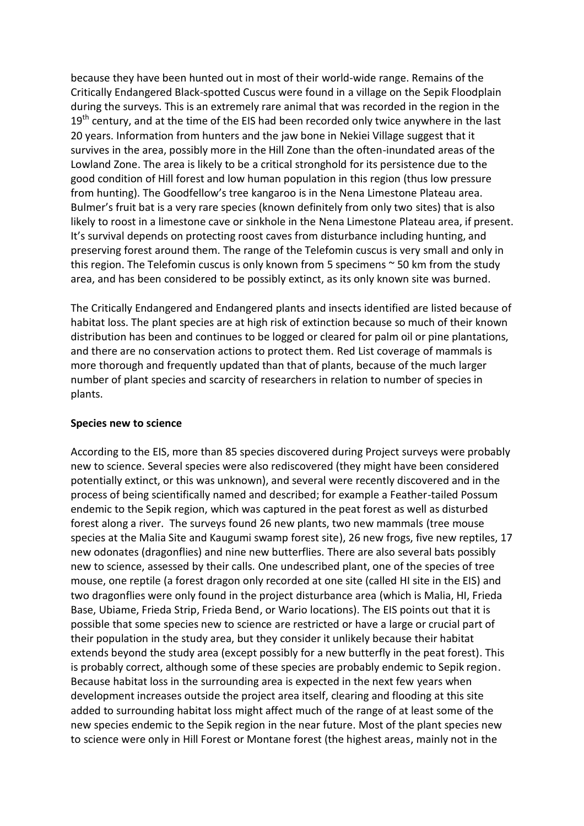because they have been hunted out in most of their world-wide range. Remains of the Critically Endangered Black-spotted Cuscus were found in a village on the Sepik Floodplain during the surveys. This is an extremely rare animal that was recorded in the region in the  $19<sup>th</sup>$  century, and at the time of the EIS had been recorded only twice anywhere in the last 20 years. Information from hunters and the jaw bone in Nekiei Village suggest that it survives in the area, possibly more in the Hill Zone than the often-inundated areas of the Lowland Zone. The area is likely to be a critical stronghold for its persistence due to the good condition of Hill forest and low human population in this region (thus low pressure from hunting). The Goodfellow's tree kangaroo is in the Nena Limestone Plateau area. Bulmer's fruit bat is a very rare species (known definitely from only two sites) that is also likely to roost in a limestone cave or sinkhole in the Nena Limestone Plateau area, if present. It's survival depends on protecting roost caves from disturbance including hunting, and preserving forest around them. The range of the Telefomin cuscus is very small and only in this region. The Telefomin cuscus is only known from 5 specimens  $\sim$  50 km from the study area, and has been considered to be possibly extinct, as its only known site was burned.

The Critically Endangered and Endangered plants and insects identified are listed because of habitat loss. The plant species are at high risk of extinction because so much of their known distribution has been and continues to be logged or cleared for palm oil or pine plantations, and there are no conservation actions to protect them. Red List coverage of mammals is more thorough and frequently updated than that of plants, because of the much larger number of plant species and scarcity of researchers in relation to number of species in plants.

#### **Species new to science**

According to the EIS, more than 85 species discovered during Project surveys were probably new to science. Several species were also rediscovered (they might have been considered potentially extinct, or this was unknown), and several were recently discovered and in the process of being scientifically named and described; for example a Feather-tailed Possum endemic to the Sepik region, which was captured in the peat forest as well as disturbed forest along a river. The surveys found 26 new plants, two new mammals (tree mouse species at the Malia Site and Kaugumi swamp forest site), 26 new frogs, five new reptiles, 17 new odonates (dragonflies) and nine new butterflies. There are also several bats possibly new to science, assessed by their calls. One undescribed plant, one of the species of tree mouse, one reptile (a forest dragon only recorded at one site (called HI site in the EIS) and two dragonflies were only found in the project disturbance area (which is Malia, HI, Frieda Base, Ubiame, Frieda Strip, Frieda Bend, or Wario locations). The EIS points out that it is possible that some species new to science are restricted or have a large or crucial part of their population in the study area, but they consider it unlikely because their habitat extends beyond the study area (except possibly for a new butterfly in the peat forest). This is probably correct, although some of these species are probably endemic to Sepik region. Because habitat loss in the surrounding area is expected in the next few years when development increases outside the project area itself, clearing and flooding at this site added to surrounding habitat loss might affect much of the range of at least some of the new species endemic to the Sepik region in the near future. Most of the plant species new to science were only in Hill Forest or Montane forest (the highest areas, mainly not in the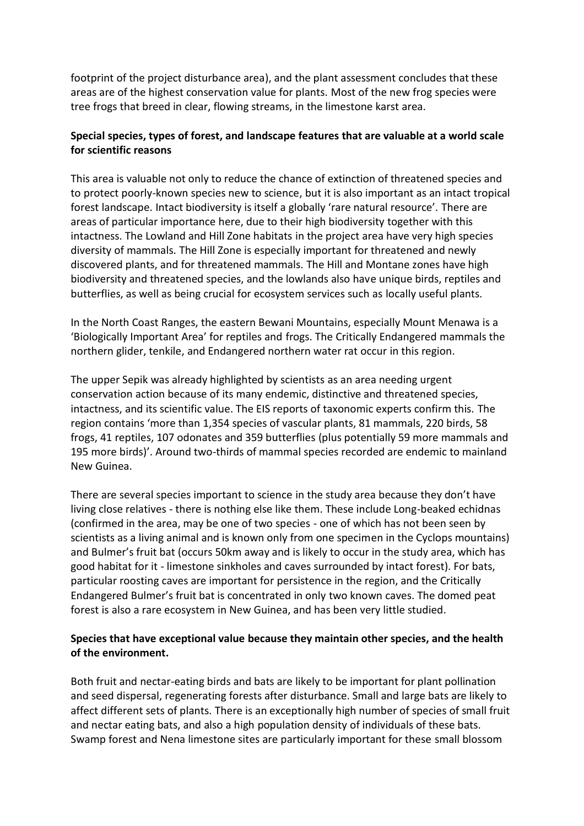footprint of the project disturbance area), and the plant assessment concludes that these areas are of the highest conservation value for plants. Most of the new frog species were tree frogs that breed in clear, flowing streams, in the limestone karst area.

### **Special species, types of forest, and landscape features that are valuable at a world scale for scientific reasons**

This area is valuable not only to reduce the chance of extinction of threatened species and to protect poorly-known species new to science, but it is also important as an intact tropical forest landscape. Intact biodiversity is itself a globally 'rare natural resource'. There are areas of particular importance here, due to their high biodiversity together with this intactness. The Lowland and Hill Zone habitats in the project area have very high species diversity of mammals. The Hill Zone is especially important for threatened and newly discovered plants, and for threatened mammals. The Hill and Montane zones have high biodiversity and threatened species, and the lowlands also have unique birds, reptiles and butterflies, as well as being crucial for ecosystem services such as locally useful plants.

In the North Coast Ranges, the eastern Bewani Mountains, especially Mount Menawa is a 'Biologically Important Area' for reptiles and frogs. The Critically Endangered mammals the northern glider, tenkile, and Endangered northern water rat occur in this region.

The upper Sepik was already highlighted by scientists as an area needing urgent conservation action because of its many endemic, distinctive and threatened species, intactness, and its scientific value. The EIS reports of taxonomic experts confirm this. The region contains 'more than 1,354 species of vascular plants, 81 mammals, 220 birds, 58 frogs, 41 reptiles, 107 odonates and 359 butterflies (plus potentially 59 more mammals and 195 more birds)'. Around two-thirds of mammal species recorded are endemic to mainland New Guinea.

There are several species important to science in the study area because they don't have living close relatives - there is nothing else like them. These include Long-beaked echidnas (confirmed in the area, may be one of two species - one of which has not been seen by scientists as a living animal and is known only from one specimen in the Cyclops mountains) and Bulmer's fruit bat (occurs 50km away and is likely to occur in the study area, which has good habitat for it - limestone sinkholes and caves surrounded by intact forest). For bats, particular roosting caves are important for persistence in the region, and the Critically Endangered Bulmer's fruit bat is concentrated in only two known caves. The domed peat forest is also a rare ecosystem in New Guinea, and has been very little studied.

### **Species that have exceptional value because they maintain other species, and the health of the environment.**

Both fruit and nectar-eating birds and bats are likely to be important for plant pollination and seed dispersal, regenerating forests after disturbance. Small and large bats are likely to affect different sets of plants. There is an exceptionally high number of species of small fruit and nectar eating bats, and also a high population density of individuals of these bats. Swamp forest and Nena limestone sites are particularly important for these small blossom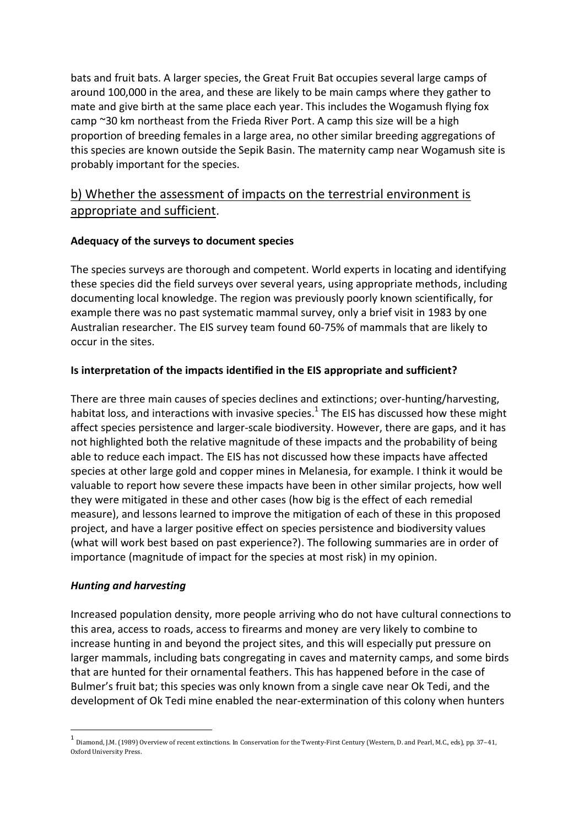bats and fruit bats. A larger species, the Great Fruit Bat occupies several large camps of around 100,000 in the area, and these are likely to be main camps where they gather to mate and give birth at the same place each year. This includes the Wogamush flying fox camp ~30 km northeast from the Frieda River Port. A camp this size will be a high proportion of breeding females in a large area, no other similar breeding aggregations of this species are known outside the Sepik Basin. The maternity camp near Wogamush site is probably important for the species.

# b) Whether the assessment of impacts on the terrestrial environment is appropriate and sufficient.

### **Adequacy of the surveys to document species**

The species surveys are thorough and competent. World experts in locating and identifying these species did the field surveys over several years, using appropriate methods, including documenting local knowledge. The region was previously poorly known scientifically, for example there was no past systematic mammal survey, only a brief visit in 1983 by one Australian researcher. The EIS survey team found 60-75% of mammals that are likely to occur in the sites.

### **Is interpretation of the impacts identified in the EIS appropriate and sufficient?**

There are three main causes of species declines and extinctions; over-hunting/harvesting, habitat loss, and interactions with invasive species.<sup>1</sup> The EIS has discussed how these might affect species persistence and larger-scale biodiversity. However, there are gaps, and it has not highlighted both the relative magnitude of these impacts and the probability of being able to reduce each impact. The EIS has not discussed how these impacts have affected species at other large gold and copper mines in Melanesia, for example. I think it would be valuable to report how severe these impacts have been in other similar projects, how well they were mitigated in these and other cases (how big is the effect of each remedial measure), and lessons learned to improve the mitigation of each of these in this proposed project, and have a larger positive effect on species persistence and biodiversity values (what will work best based on past experience?). The following summaries are in order of importance (magnitude of impact for the species at most risk) in my opinion.

### *Hunting and harvesting*

 $\overline{a}$ 

Increased population density, more people arriving who do not have cultural connections to this area, access to roads, access to firearms and money are very likely to combine to increase hunting in and beyond the project sites, and this will especially put pressure on larger mammals, including bats congregating in caves and maternity camps, and some birds that are hunted for their ornamental feathers. This has happened before in the case of Bulmer's fruit bat; this species was only known from a single cave near Ok Tedi, and the development of Ok Tedi mine enabled the near-extermination of this colony when hunters

<sup>1</sup> Diamond, J.M. (1989) Overview of recent extinctions. In Conservation for the Twenty-First Century (Western, D. and Pearl, M.C., eds), pp. 37–41, Oxford University Press.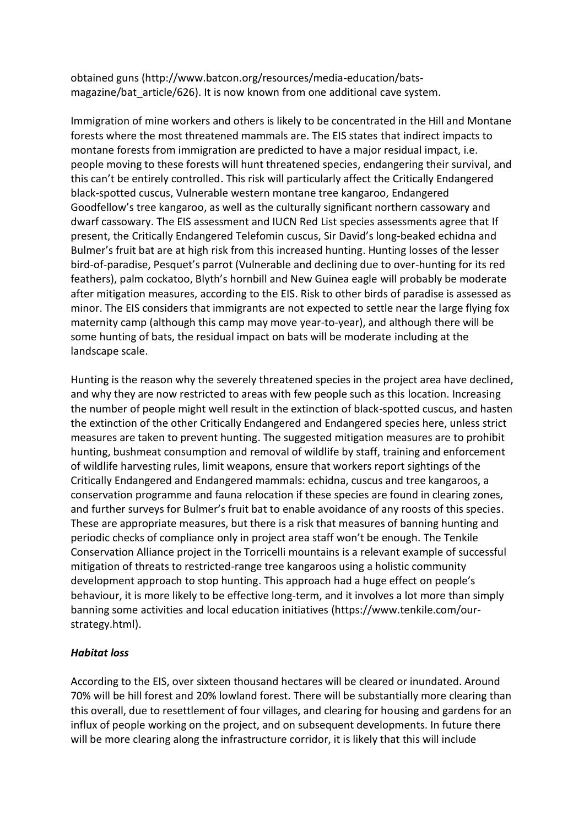obtained guns (http://www.batcon.org/resources/media-education/batsmagazine/bat article/626). It is now known from one additional cave system.

Immigration of mine workers and others is likely to be concentrated in the Hill and Montane forests where the most threatened mammals are. The EIS states that indirect impacts to montane forests from immigration are predicted to have a major residual impact, i.e. people moving to these forests will hunt threatened species, endangering their survival, and this can't be entirely controlled. This risk will particularly affect the Critically Endangered black-spotted cuscus, Vulnerable western montane tree kangaroo, Endangered Goodfellow's tree kangaroo, as well as the culturally significant northern cassowary and dwarf cassowary. The EIS assessment and IUCN Red List species assessments agree that If present, the Critically Endangered Telefomin cuscus, Sir David's long-beaked echidna and Bulmer's fruit bat are at high risk from this increased hunting. Hunting losses of the lesser bird-of-paradise, Pesquet's parrot (Vulnerable and declining due to over-hunting for its red feathers), palm cockatoo, Blyth's hornbill and New Guinea eagle will probably be moderate after mitigation measures, according to the EIS. Risk to other birds of paradise is assessed as minor. The EIS considers that immigrants are not expected to settle near the large flying fox maternity camp (although this camp may move year-to-year), and although there will be some hunting of bats, the residual impact on bats will be moderate including at the landscape scale.

Hunting is the reason why the severely threatened species in the project area have declined, and why they are now restricted to areas with few people such as this location. Increasing the number of people might well result in the extinction of black-spotted cuscus, and hasten the extinction of the other Critically Endangered and Endangered species here, unless strict measures are taken to prevent hunting. The suggested mitigation measures are to prohibit hunting, bushmeat consumption and removal of wildlife by staff, training and enforcement of wildlife harvesting rules, limit weapons, ensure that workers report sightings of the Critically Endangered and Endangered mammals: echidna, cuscus and tree kangaroos, a conservation programme and fauna relocation if these species are found in clearing zones, and further surveys for Bulmer's fruit bat to enable avoidance of any roosts of this species. These are appropriate measures, but there is a risk that measures of banning hunting and periodic checks of compliance only in project area staff won't be enough. The Tenkile Conservation Alliance project in the Torricelli mountains is a relevant example of successful mitigation of threats to restricted-range tree kangaroos using a holistic community development approach to stop hunting. This approach had a huge effect on people's behaviour, it is more likely to be effective long-term, and it involves a lot more than simply banning some activities and local education initiatives (https://www.tenkile.com/ourstrategy.html).

### *Habitat loss*

According to the EIS, over sixteen thousand hectares will be cleared or inundated. Around 70% will be hill forest and 20% lowland forest. There will be substantially more clearing than this overall, due to resettlement of four villages, and clearing for housing and gardens for an influx of people working on the project, and on subsequent developments. In future there will be more clearing along the infrastructure corridor, it is likely that this will include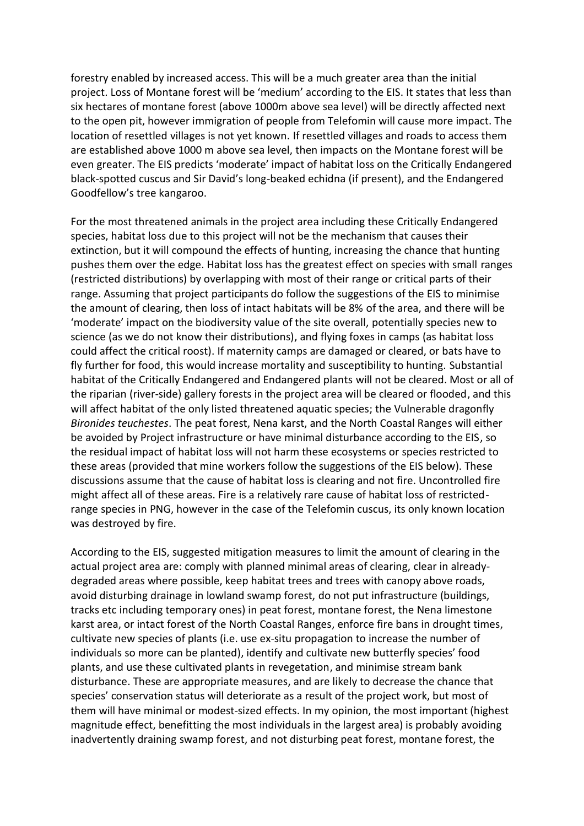forestry enabled by increased access. This will be a much greater area than the initial project. Loss of Montane forest will be 'medium' according to the EIS. It states that less than six hectares of montane forest (above 1000m above sea level) will be directly affected next to the open pit, however immigration of people from Telefomin will cause more impact. The location of resettled villages is not yet known. If resettled villages and roads to access them are established above 1000 m above sea level, then impacts on the Montane forest will be even greater. The EIS predicts 'moderate' impact of habitat loss on the Critically Endangered black-spotted cuscus and Sir David's long-beaked echidna (if present), and the Endangered Goodfellow's tree kangaroo.

For the most threatened animals in the project area including these Critically Endangered species, habitat loss due to this project will not be the mechanism that causes their extinction, but it will compound the effects of hunting, increasing the chance that hunting pushes them over the edge. Habitat loss has the greatest effect on species with small ranges (restricted distributions) by overlapping with most of their range or critical parts of their range. Assuming that project participants do follow the suggestions of the EIS to minimise the amount of clearing, then loss of intact habitats will be 8% of the area, and there will be 'moderate' impact on the biodiversity value of the site overall, potentially species new to science (as we do not know their distributions), and flying foxes in camps (as habitat loss could affect the critical roost). If maternity camps are damaged or cleared, or bats have to fly further for food, this would increase mortality and susceptibility to hunting. Substantial habitat of the Critically Endangered and Endangered plants will not be cleared. Most or all of the riparian (river-side) gallery forests in the project area will be cleared or flooded, and this will affect habitat of the only listed threatened aquatic species; the Vulnerable dragonfly *Bironides teuchestes*. The peat forest, Nena karst, and the North Coastal Ranges will either be avoided by Project infrastructure or have minimal disturbance according to the EIS, so the residual impact of habitat loss will not harm these ecosystems or species restricted to these areas (provided that mine workers follow the suggestions of the EIS below). These discussions assume that the cause of habitat loss is clearing and not fire. Uncontrolled fire might affect all of these areas. Fire is a relatively rare cause of habitat loss of restrictedrange species in PNG, however in the case of the Telefomin cuscus, its only known location was destroyed by fire.

According to the EIS, suggested mitigation measures to limit the amount of clearing in the actual project area are: comply with planned minimal areas of clearing, clear in alreadydegraded areas where possible, keep habitat trees and trees with canopy above roads, avoid disturbing drainage in lowland swamp forest, do not put infrastructure (buildings, tracks etc including temporary ones) in peat forest, montane forest, the Nena limestone karst area, or intact forest of the North Coastal Ranges, enforce fire bans in drought times, cultivate new species of plants (i.e. use ex-situ propagation to increase the number of individuals so more can be planted), identify and cultivate new butterfly species' food plants, and use these cultivated plants in revegetation, and minimise stream bank disturbance. These are appropriate measures, and are likely to decrease the chance that species' conservation status will deteriorate as a result of the project work, but most of them will have minimal or modest-sized effects. In my opinion, the most important (highest magnitude effect, benefitting the most individuals in the largest area) is probably avoiding inadvertently draining swamp forest, and not disturbing peat forest, montane forest, the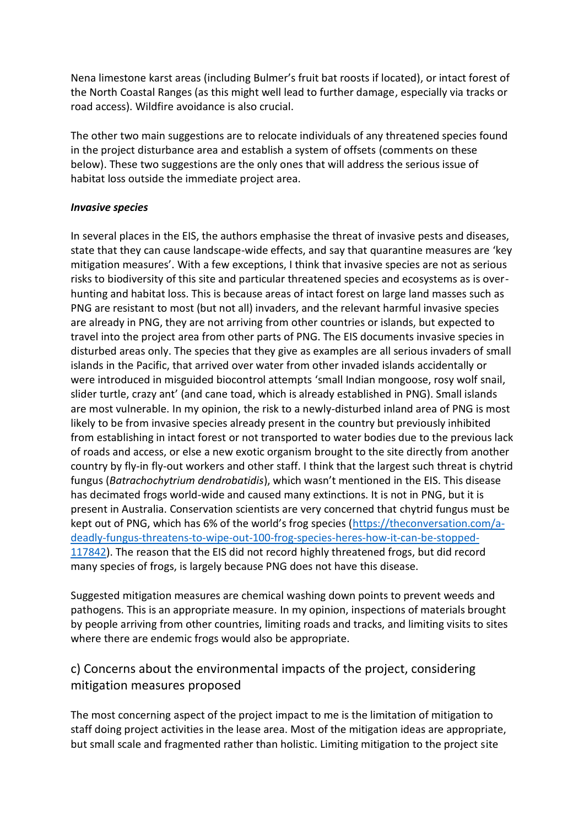Nena limestone karst areas (including Bulmer's fruit bat roosts if located), or intact forest of the North Coastal Ranges (as this might well lead to further damage, especially via tracks or road access). Wildfire avoidance is also crucial.

The other two main suggestions are to relocate individuals of any threatened species found in the project disturbance area and establish a system of offsets (comments on these below). These two suggestions are the only ones that will address the serious issue of habitat loss outside the immediate project area.

#### *Invasive species*

In several places in the EIS, the authors emphasise the threat of invasive pests and diseases, state that they can cause landscape-wide effects, and say that quarantine measures are 'key mitigation measures'. With a few exceptions, I think that invasive species are not as serious risks to biodiversity of this site and particular threatened species and ecosystems as is overhunting and habitat loss. This is because areas of intact forest on large land masses such as PNG are resistant to most (but not all) invaders, and the relevant harmful invasive species are already in PNG, they are not arriving from other countries or islands, but expected to travel into the project area from other parts of PNG. The EIS documents invasive species in disturbed areas only. The species that they give as examples are all serious invaders of small islands in the Pacific, that arrived over water from other invaded islands accidentally or were introduced in misguided biocontrol attempts 'small Indian mongoose, rosy wolf snail, slider turtle, crazy ant' (and cane toad, which is already established in PNG). Small islands are most vulnerable. In my opinion, the risk to a newly-disturbed inland area of PNG is most likely to be from invasive species already present in the country but previously inhibited from establishing in intact forest or not transported to water bodies due to the previous lack of roads and access, or else a new exotic organism brought to the site directly from another country by fly-in fly-out workers and other staff. I think that the largest such threat is chytrid fungus (*Batrachochytrium dendrobatidis*), which wasn't mentioned in the EIS. This disease has decimated frogs world-wide and caused many extinctions. It is not in PNG, but it is present in Australia. Conservation scientists are very concerned that chytrid fungus must be kept out of PNG, which has 6% of the world's frog species ([https://theconversation.com/a](https://theconversation.com/a-deadly-fungus-threatens-to-wipe-out-100-frog-species-heres-how-it-can-be-stopped-117842)[deadly-fungus-threatens-to-wipe-out-100-frog-species-heres-how-it-can-be-stopped-](https://theconversation.com/a-deadly-fungus-threatens-to-wipe-out-100-frog-species-heres-how-it-can-be-stopped-117842)[117842\)](https://theconversation.com/a-deadly-fungus-threatens-to-wipe-out-100-frog-species-heres-how-it-can-be-stopped-117842). The reason that the EIS did not record highly threatened frogs, but did record many species of frogs, is largely because PNG does not have this disease.

Suggested mitigation measures are chemical washing down points to prevent weeds and pathogens. This is an appropriate measure. In my opinion, inspections of materials brought by people arriving from other countries, limiting roads and tracks, and limiting visits to sites where there are endemic frogs would also be appropriate.

# c) Concerns about the environmental impacts of the project, considering mitigation measures proposed

The most concerning aspect of the project impact to me is the limitation of mitigation to staff doing project activities in the lease area. Most of the mitigation ideas are appropriate, but small scale and fragmented rather than holistic. Limiting mitigation to the project site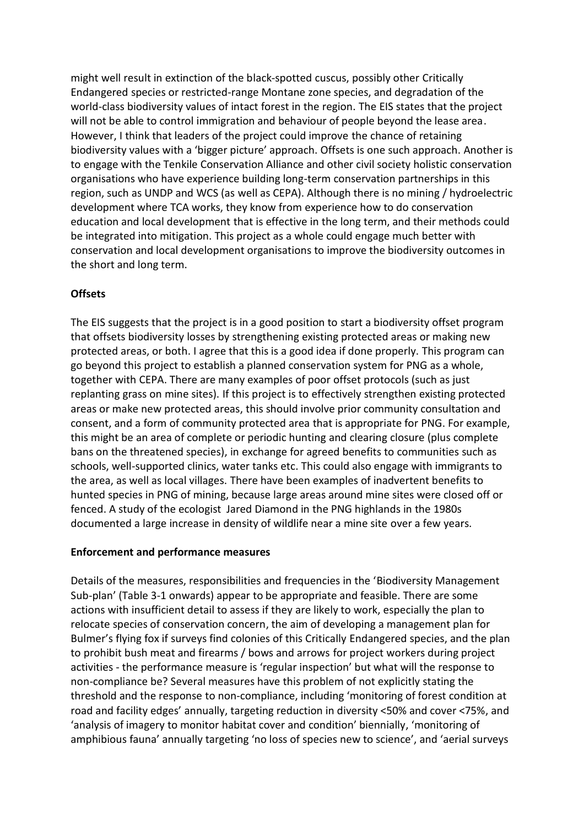might well result in extinction of the black-spotted cuscus, possibly other Critically Endangered species or restricted-range Montane zone species, and degradation of the world-class biodiversity values of intact forest in the region. The EIS states that the project will not be able to control immigration and behaviour of people beyond the lease area. However, I think that leaders of the project could improve the chance of retaining biodiversity values with a 'bigger picture' approach. Offsets is one such approach. Another is to engage with the Tenkile Conservation Alliance and other civil society holistic conservation organisations who have experience building long-term conservation partnerships in this region, such as UNDP and WCS (as well as CEPA). Although there is no mining / hydroelectric development where TCA works, they know from experience how to do conservation education and local development that is effective in the long term, and their methods could be integrated into mitigation. This project as a whole could engage much better with conservation and local development organisations to improve the biodiversity outcomes in the short and long term.

### **Offsets**

The EIS suggests that the project is in a good position to start a biodiversity offset program that offsets biodiversity losses by strengthening existing protected areas or making new protected areas, or both. I agree that this is a good idea if done properly. This program can go beyond this project to establish a planned conservation system for PNG as a whole, together with CEPA. There are many examples of poor offset protocols (such as just replanting grass on mine sites). If this project is to effectively strengthen existing protected areas or make new protected areas, this should involve prior community consultation and consent, and a form of community protected area that is appropriate for PNG. For example, this might be an area of complete or periodic hunting and clearing closure (plus complete bans on the threatened species), in exchange for agreed benefits to communities such as schools, well-supported clinics, water tanks etc. This could also engage with immigrants to the area, as well as local villages. There have been examples of inadvertent benefits to hunted species in PNG of mining, because large areas around mine sites were closed off or fenced. A study of the ecologist Jared Diamond in the PNG highlands in the 1980s documented a large increase in density of wildlife near a mine site over a few years.

#### **Enforcement and performance measures**

Details of the measures, responsibilities and frequencies in the 'Biodiversity Management Sub-plan' (Table 3-1 onwards) appear to be appropriate and feasible. There are some actions with insufficient detail to assess if they are likely to work, especially the plan to relocate species of conservation concern, the aim of developing a management plan for Bulmer's flying fox if surveys find colonies of this Critically Endangered species, and the plan to prohibit bush meat and firearms / bows and arrows for project workers during project activities - the performance measure is 'regular inspection' but what will the response to non-compliance be? Several measures have this problem of not explicitly stating the threshold and the response to non-compliance, including 'monitoring of forest condition at road and facility edges' annually, targeting reduction in diversity <50% and cover <75%, and 'analysis of imagery to monitor habitat cover and condition' biennially, 'monitoring of amphibious fauna' annually targeting 'no loss of species new to science', and 'aerial surveys